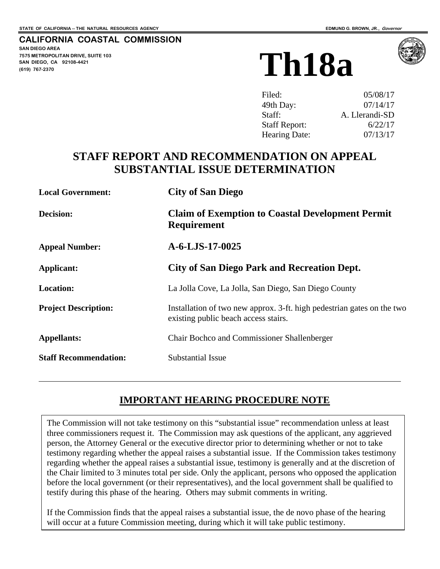**SAN DIEGO AREA** 

**(619) 767-2370**

 $\overline{a}$ 

**7575 METROPOLITAN DRIVE, SUITE 103 SAN DIEGO, CA 92108-4421**

**CALIFORNIA COASTAL COMMISSION**

# **Th18a**

| Filed:               | 05/08/17       |
|----------------------|----------------|
| 49th Day:            | 07/14/17       |
| Staff:               | A. Llerandi-SD |
| <b>Staff Report:</b> | 6/22/17        |
| <b>Hearing Date:</b> | 07/13/17       |

# **STAFF REPORT AND RECOMMENDATION ON APPEAL SUBSTANTIAL ISSUE DETERMINATION**

| <b>Local Government:</b>     | <b>City of San Diego</b>                                                                                       |
|------------------------------|----------------------------------------------------------------------------------------------------------------|
| <b>Decision:</b>             | <b>Claim of Exemption to Coastal Development Permit</b><br><b>Requirement</b>                                  |
| <b>Appeal Number:</b>        | $A-6-LJS-17-0025$                                                                                              |
| Applicant:                   | <b>City of San Diego Park and Recreation Dept.</b>                                                             |
| <b>Location:</b>             | La Jolla Cove, La Jolla, San Diego, San Diego County                                                           |
| <b>Project Description:</b>  | Installation of two new approx. 3-ft. high pedestrian gates on the two<br>existing public beach access stairs. |
| <b>Appellants:</b>           | <b>Chair Bochco and Commissioner Shallenberger</b>                                                             |
| <b>Staff Recommendation:</b> | <b>Substantial Issue</b>                                                                                       |

# **IMPORTANT HEARING PROCEDURE NOTE**

 The Commission will not take testimony on this "substantial issue" recommendation unless at least three commissioners request it. The Commission may ask questions of the applicant, any aggrieved person, the Attorney General or the executive director prior to determining whether or not to take testimony regarding whether the appeal raises a substantial issue. If the Commission takes testimony regarding whether the appeal raises a substantial issue, testimony is generally and at the discretion of the Chair limited to 3 minutes total per side. Only the applicant, persons who opposed the application before the local government (or their representatives), and the local government shall be qualified to testify during this phase of the hearing. Others may submit comments in writing.

If the Commission finds that the appeal raises a substantial issue, the de novo phase of the hearing will occur at a future Commission meeting, during which it will take public testimony.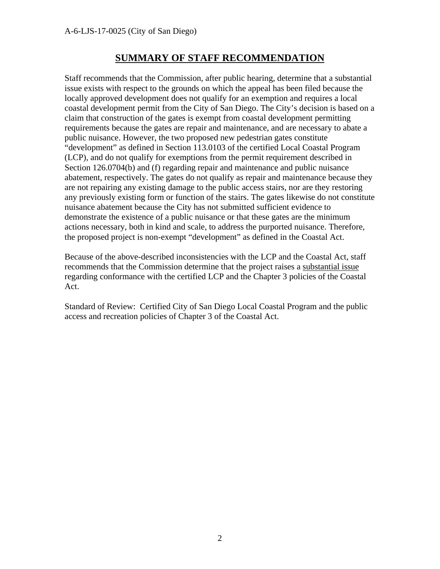#### **SUMMARY OF STAFF RECOMMENDATION**

Staff recommends that the Commission, after public hearing, determine that a substantial issue exists with respect to the grounds on which the appeal has been filed because the locally approved development does not qualify for an exemption and requires a local coastal development permit from the City of San Diego. The City's decision is based on a claim that construction of the gates is exempt from coastal development permitting requirements because the gates are repair and maintenance, and are necessary to abate a public nuisance. However, the two proposed new pedestrian gates constitute "development" as defined in Section 113.0103 of the certified Local Coastal Program (LCP), and do not qualify for exemptions from the permit requirement described in Section 126.0704(b) and (f) regarding repair and maintenance and public nuisance abatement, respectively. The gates do not qualify as repair and maintenance because they are not repairing any existing damage to the public access stairs, nor are they restoring any previously existing form or function of the stairs. The gates likewise do not constitute nuisance abatement because the City has not submitted sufficient evidence to demonstrate the existence of a public nuisance or that these gates are the minimum actions necessary, both in kind and scale, to address the purported nuisance. Therefore, the proposed project is non-exempt "development" as defined in the Coastal Act.

Because of the above-described inconsistencies with the LCP and the Coastal Act, staff recommends that the Commission determine that the project raises a substantial issue regarding conformance with the certified LCP and the Chapter 3 policies of the Coastal Act.

Standard of Review: Certified City of San Diego Local Coastal Program and the public access and recreation policies of Chapter 3 of the Coastal Act.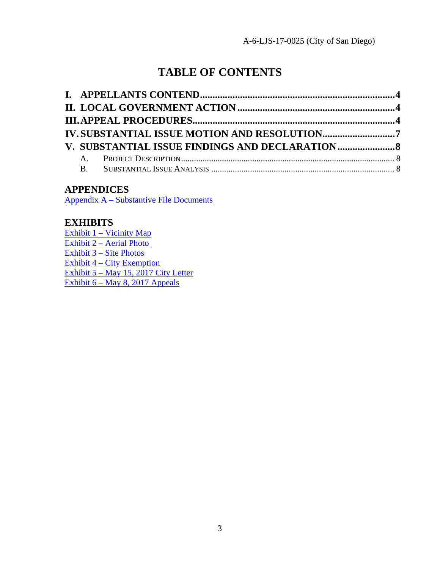# **TABLE OF CONTENTS**

|  | <b>IV. SUBSTANTIAL ISSUE MOTION AND RESOLUTION7</b> |  |
|--|-----------------------------------------------------|--|
|  |                                                     |  |
|  |                                                     |  |
|  |                                                     |  |

#### **APPENDICES**

[Appendix A – Substantive File Documents](#page-12-0) 

#### **EXHIBITS**

[Exhibit 1 – Vicinity Map](https://documents.coastal.ca.gov/reports/2017/7/Th18a/Th18a-7-2017-exhibits.pdf) [Exhibit 2 – Aerial Photo](https://documents.coastal.ca.gov/reports/2017/7/Th18a/Th18a-7-2017-exhibits.pdf) [Exhibit 3 – Site Photos](https://documents.coastal.ca.gov/reports/2017/7/Th18a/Th18a-7-2017-exhibits.pdf) [Exhibit 4 – City Exemption](https://documents.coastal.ca.gov/reports/2017/7/Th18a/Th18a-7-2017-exhibits.pdf) [Exhibit 5 – May 15, 2017 City Letter](https://documents.coastal.ca.gov/reports/2017/7/Th18a/Th18a-7-2017-exhibits.pdf) [Exhibit 6 – May 8, 2017 Appeals](https://documents.coastal.ca.gov/reports/2017/7/Th18a/Th18a-7-2017-exhibits.pdf)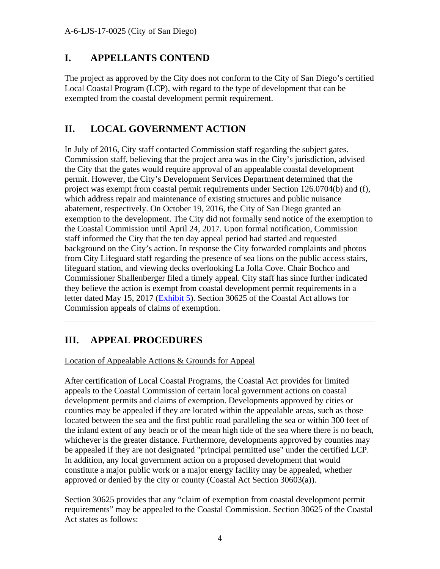$\overline{a}$ 

 $\overline{a}$ 

#### <span id="page-3-0"></span>**I. APPELLANTS CONTEND**

The project as approved by the City does not conform to the City of San Diego's certified Local Coastal Program (LCP), with regard to the type of development that can be exempted from the coastal development permit requirement.

### <span id="page-3-1"></span>**II. LOCAL GOVERNMENT ACTION**

In July of 2016, City staff contacted Commission staff regarding the subject gates. Commission staff, believing that the project area was in the City's jurisdiction, advised the City that the gates would require approval of an appealable coastal development permit. However, the City's Development Services Department determined that the project was exempt from coastal permit requirements under Section 126.0704(b) and (f), which address repair and maintenance of existing structures and public nuisance abatement, respectively. On October 19, 2016, the City of San Diego granted an exemption to the development. The City did not formally send notice of the exemption to the Coastal Commission until April 24, 2017. Upon formal notification, Commission staff informed the City that the ten day appeal period had started and requested background on the City's action. In response the City forwarded complaints and photos from City Lifeguard staff regarding the presence of sea lions on the public access stairs, lifeguard station, and viewing decks overlooking La Jolla Cove. Chair Bochco and Commissioner Shallenberger filed a timely appeal. City staff has since further indicated they believe the action is exempt from coastal development permit requirements in a letter dated May 15, 2017 [\(Exhibit 5\)](https://documents.coastal.ca.gov/reports/2017/7/Th18a/Th18a-7-2017-exhibits.pdf). Section 30625 of the Coastal Act allows for Commission appeals of claims of exemption.

#### <span id="page-3-2"></span>**III. APPEAL PROCEDURES**

Location of Appealable Actions & Grounds for Appeal

After certification of Local Coastal Programs, the Coastal Act provides for limited appeals to the Coastal Commission of certain local government actions on coastal development permits and claims of exemption. Developments approved by cities or counties may be appealed if they are located within the appealable areas, such as those located between the sea and the first public road paralleling the sea or within 300 feet of the inland extent of any beach or of the mean high tide of the sea where there is no beach, whichever is the greater distance. Furthermore, developments approved by counties may be appealed if they are not designated "principal permitted use" under the certified LCP. In addition, any local government action on a proposed development that would constitute a major public work or a major energy facility may be appealed, whether approved or denied by the city or county (Coastal Act Section 30603(a)).

Section 30625 provides that any "claim of exemption from coastal development permit requirements" may be appealed to the Coastal Commission. Section 30625 of the Coastal Act states as follows: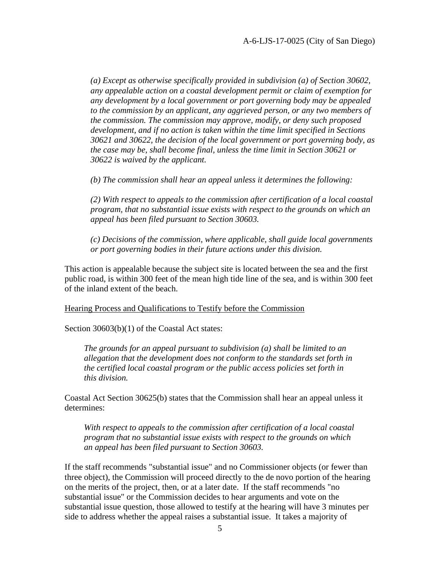*(a) Except as otherwise specifically provided in subdivision (a) of Section 30602, any appealable action on a coastal development permit or claim of exemption for any development by a local government or port governing body may be appealed to the commission by an applicant, any aggrieved person, or any two members of the commission. The commission may approve, modify, or deny such proposed development, and if no action is taken within the time limit specified in Sections 30621 and 30622, the decision of the local government or port governing body, as the case may be, shall become final, unless the time limit in Section 30621 or 30622 is waived by the applicant.* 

*(b) The commission shall hear an appeal unless it determines the following:* 

*(2) With respect to appeals to the commission after certification of a local coastal program, that no substantial issue exists with respect to the grounds on which an appeal has been filed pursuant to Section 30603.* 

*(c) Decisions of the commission, where applicable, shall guide local governments or port governing bodies in their future actions under this division.* 

This action is appealable because the subject site is located between the sea and the first public road, is within 300 feet of the mean high tide line of the sea, and is within 300 feet of the inland extent of the beach.

Hearing Process and Qualifications to Testify before the Commission

Section 30603(b)(1) of the Coastal Act states:

*The grounds for an appeal pursuant to subdivision (a) shall be limited to an allegation that the development does not conform to the standards set forth in the certified local coastal program or the public access policies set forth in this division.* 

Coastal Act Section 30625(b) states that the Commission shall hear an appeal unless it determines:

*With respect to appeals to the commission after certification of a local coastal program that no substantial issue exists with respect to the grounds on which an appeal has been filed pursuant to Section 30603.* 

If the staff recommends "substantial issue" and no Commissioner objects (or fewer than three object), the Commission will proceed directly to the de novo portion of the hearing on the merits of the project, then, or at a later date. If the staff recommends "no substantial issue" or the Commission decides to hear arguments and vote on the substantial issue question, those allowed to testify at the hearing will have 3 minutes per side to address whether the appeal raises a substantial issue. It takes a majority of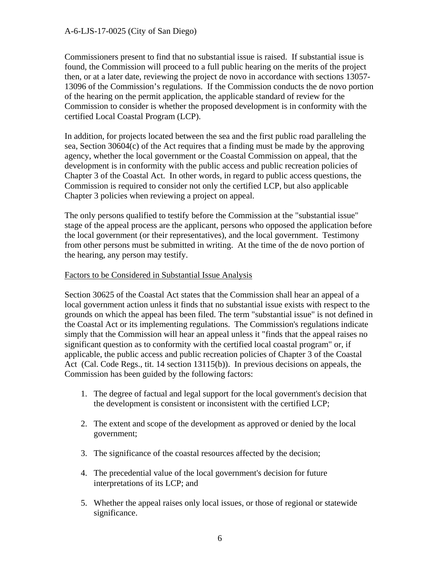#### A-6-LJS-17-0025 (City of San Diego)

Commissioners present to find that no substantial issue is raised. If substantial issue is found, the Commission will proceed to a full public hearing on the merits of the project then, or at a later date, reviewing the project de novo in accordance with sections 13057- 13096 of the Commission's regulations. If the Commission conducts the de novo portion of the hearing on the permit application, the applicable standard of review for the Commission to consider is whether the proposed development is in conformity with the certified Local Coastal Program (LCP).

In addition, for projects located between the sea and the first public road paralleling the sea, Section 30604(c) of the Act requires that a finding must be made by the approving agency, whether the local government or the Coastal Commission on appeal, that the development is in conformity with the public access and public recreation policies of Chapter 3 of the Coastal Act. In other words, in regard to public access questions, the Commission is required to consider not only the certified LCP, but also applicable Chapter 3 policies when reviewing a project on appeal.

The only persons qualified to testify before the Commission at the "substantial issue" stage of the appeal process are the applicant, persons who opposed the application before the local government (or their representatives), and the local government. Testimony from other persons must be submitted in writing. At the time of the de novo portion of the hearing, any person may testify.

#### Factors to be Considered in Substantial Issue Analysis

Section 30625 of the Coastal Act states that the Commission shall hear an appeal of a local government action unless it finds that no substantial issue exists with respect to the grounds on which the appeal has been filed. The term "substantial issue" is not defined in the Coastal Act or its implementing regulations. The Commission's regulations indicate simply that the Commission will hear an appeal unless it "finds that the appeal raises no significant question as to conformity with the certified local coastal program" or, if applicable, the public access and public recreation policies of Chapter 3 of the Coastal Act (Cal. Code Regs., tit. 14 section 13115(b)). In previous decisions on appeals, the Commission has been guided by the following factors:

- 1. The degree of factual and legal support for the local government's decision that the development is consistent or inconsistent with the certified LCP;
- 2. The extent and scope of the development as approved or denied by the local government;
- 3. The significance of the coastal resources affected by the decision;
- 4. The precedential value of the local government's decision for future interpretations of its LCP; and
- 5. Whether the appeal raises only local issues, or those of regional or statewide significance.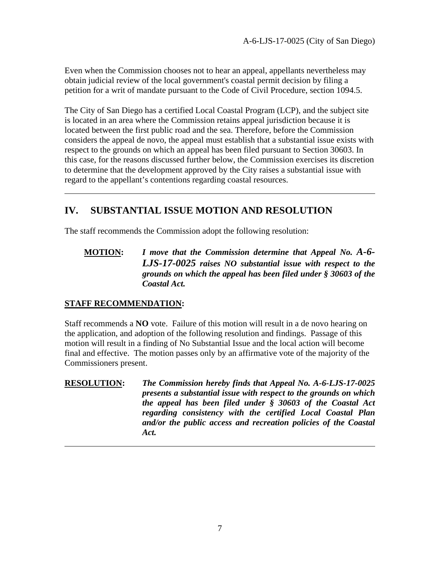Even when the Commission chooses not to hear an appeal, appellants nevertheless may obtain judicial review of the local government's coastal permit decision by filing a petition for a writ of mandate pursuant to the Code of Civil Procedure, section 1094.5.

The City of San Diego has a certified Local Coastal Program (LCP), and the subject site is located in an area where the Commission retains appeal jurisdiction because it is located between the first public road and the sea. Therefore, before the Commission considers the appeal de novo, the appeal must establish that a substantial issue exists with respect to the grounds on which an appeal has been filed pursuant to Section 30603. In this case, for the reasons discussed further below, the Commission exercises its discretion to determine that the development approved by the City raises a substantial issue with regard to the appellant's contentions regarding coastal resources.

### <span id="page-6-0"></span>**IV. SUBSTANTIAL ISSUE MOTION AND RESOLUTION**

The staff recommends the Commission adopt the following resolution:

**MOTION:** *I move that the Commission determine that Appeal No. A-6- LJS-17-0025 raises NO substantial issue with respect to the grounds on which the appeal has been filed under § 30603 of the Coastal Act.*

#### **STAFF RECOMMENDATION:**

 $\overline{a}$ 

 $\overline{a}$ 

Staff recommends a **NO** vote. Failure of this motion will result in a de novo hearing on the application, and adoption of the following resolution and findings. Passage of this motion will result in a finding of No Substantial Issue and the local action will become final and effective. The motion passes only by an affirmative vote of the majority of the Commissioners present.

**RESOLUTION:** *The Commission hereby finds that Appeal No. A-6-LJS-17-0025 presents a substantial issue with respect to the grounds on which the appeal has been filed under § 30603 of the Coastal Act regarding consistency with the certified Local Coastal Plan and/or the public access and recreation policies of the Coastal Act.*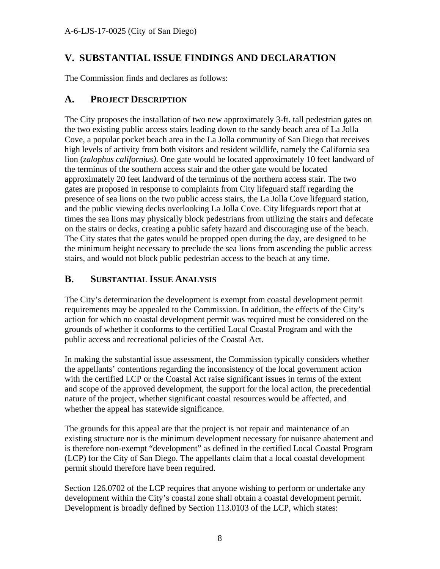#### <span id="page-7-0"></span>**V. SUBSTANTIAL ISSUE FINDINGS AND DECLARATION**

The Commission finds and declares as follows:

#### <span id="page-7-1"></span>**A. PROJECT DESCRIPTION**

The City proposes the installation of two new approximately 3-ft. tall pedestrian gates on the two existing public access stairs leading down to the sandy beach area of La Jolla Cove, a popular pocket beach area in the La Jolla community of San Diego that receives high levels of activity from both visitors and resident wildlife, namely the California sea lion (*zalophus californius)*. One gate would be located approximately 10 feet landward of the terminus of the southern access stair and the other gate would be located approximately 20 feet landward of the terminus of the northern access stair. The two gates are proposed in response to complaints from City lifeguard staff regarding the presence of sea lions on the two public access stairs, the La Jolla Cove lifeguard station, and the public viewing decks overlooking La Jolla Cove. City lifeguards report that at times the sea lions may physically block pedestrians from utilizing the stairs and defecate on the stairs or decks, creating a public safety hazard and discouraging use of the beach. The City states that the gates would be propped open during the day, are designed to be the minimum height necessary to preclude the sea lions from ascending the public access stairs, and would not block public pedestrian access to the beach at any time.

#### <span id="page-7-2"></span>**B. SUBSTANTIAL ISSUE ANALYSIS**

The City's determination the development is exempt from coastal development permit requirements may be appealed to the Commission. In addition, the effects of the City's action for which no coastal development permit was required must be considered on the grounds of whether it conforms to the certified Local Coastal Program and with the public access and recreational policies of the Coastal Act.

In making the substantial issue assessment, the Commission typically considers whether the appellants' contentions regarding the inconsistency of the local government action with the certified LCP or the Coastal Act raise significant issues in terms of the extent and scope of the approved development, the support for the local action, the precedential nature of the project, whether significant coastal resources would be affected, and whether the appeal has statewide significance.

The grounds for this appeal are that the project is not repair and maintenance of an existing structure nor is the minimum development necessary for nuisance abatement and is therefore non-exempt "development" as defined in the certified Local Coastal Program (LCP) for the City of San Diego. The appellants claim that a local coastal development permit should therefore have been required.

Section 126.0702 of the LCP requires that anyone wishing to perform or undertake any development within the City's coastal zone shall obtain a coastal development permit. Development is broadly defined by Section 113.0103 of the LCP, which states: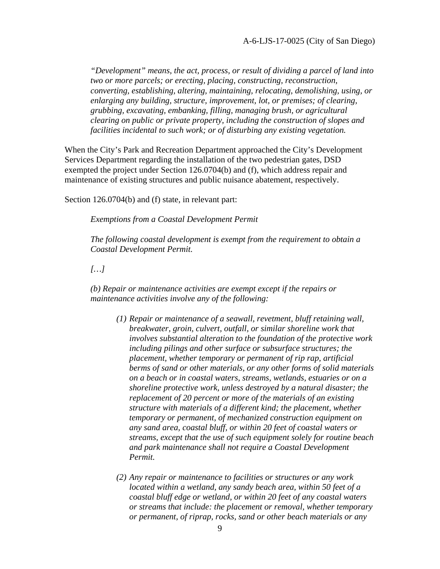*"Development" means, the act, process, or result of dividing a parcel of land into two or more parcels; or erecting, placing, constructing, reconstruction, converting, establishing, altering, maintaining, relocating, demolishing, using, or enlarging any building, structure, improvement, lot, or premises; of clearing, grubbing, excavating, embanking, filling, managing brush, or agricultural clearing on public or private property, including the construction of slopes and facilities incidental to such work; or of disturbing any existing vegetation.* 

When the City's Park and Recreation Department approached the City's Development Services Department regarding the installation of the two pedestrian gates, DSD exempted the project under Section 126.0704(b) and (f), which address repair and maintenance of existing structures and public nuisance abatement, respectively.

Section 126.0704(b) and (f) state, in relevant part:

*Exemptions from a Coastal Development Permit* 

*The following coastal development is exempt from the requirement to obtain a Coastal Development Permit.* 

*[…]*

*(b) Repair or maintenance activities are exempt except if the repairs or maintenance activities involve any of the following:*

- *(1) Repair or maintenance of a seawall, revetment, bluff retaining wall, breakwater, groin, culvert, outfall, or similar shoreline work that involves substantial alteration to the foundation of the protective work including pilings and other surface or subsurface structures; the placement, whether temporary or permanent of rip rap, artificial berms of sand or other materials, or any other forms of solid materials on a beach or in coastal waters, streams, wetlands, estuaries or on a shoreline protective work, unless destroyed by a natural disaster; the replacement of 20 percent or more of the materials of an existing structure with materials of a different kind; the placement, whether temporary or permanent, of mechanized construction equipment on any sand area, coastal bluff, or within 20 feet of coastal waters or streams, except that the use of such equipment solely for routine beach and park maintenance shall not require a Coastal Development Permit.*
- *(2) Any repair or maintenance to facilities or structures or any work located within a wetland, any sandy beach area, within 50 feet of a coastal bluff edge or wetland, or within 20 feet of any coastal waters or streams that include: the placement or removal, whether temporary or permanent, of riprap, rocks, sand or other beach materials or any*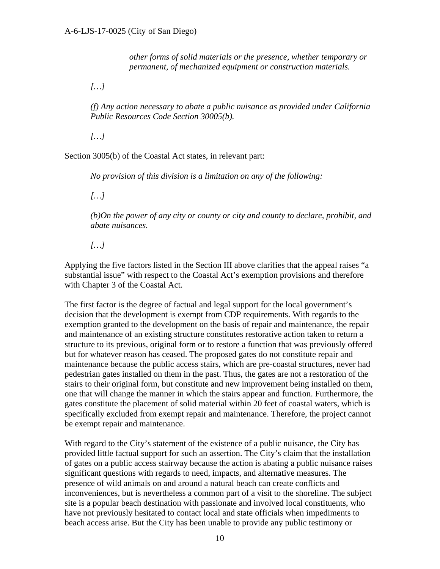*other forms of solid materials or the presence, whether temporary or permanent, of mechanized equipment or construction materials.* 

*[…]*

*(f) Any action necessary to abate a public nuisance as provided under California Public Resources Code Section 30005(b).* 

*[…]*

Section 3005(b) of the Coastal Act states, in relevant part:

*No provision of this division is a limitation on any of the following:* 

*[…]*

*(b)On the power of any city or county or city and county to declare, prohibit, and abate nuisances.* 

*[…]*

Applying the five factors listed in the Section III above clarifies that the appeal raises "a substantial issue" with respect to the Coastal Act's exemption provisions and therefore with Chapter 3 of the Coastal Act.

The first factor is the degree of factual and legal support for the local government's decision that the development is exempt from CDP requirements. With regards to the exemption granted to the development on the basis of repair and maintenance, the repair and maintenance of an existing structure constitutes restorative action taken to return a structure to its previous, original form or to restore a function that was previously offered but for whatever reason has ceased. The proposed gates do not constitute repair and maintenance because the public access stairs, which are pre-coastal structures, never had pedestrian gates installed on them in the past. Thus, the gates are not a restoration of the stairs to their original form, but constitute and new improvement being installed on them, one that will change the manner in which the stairs appear and function. Furthermore, the gates constitute the placement of solid material within 20 feet of coastal waters, which is specifically excluded from exempt repair and maintenance. Therefore, the project cannot be exempt repair and maintenance.

With regard to the City's statement of the existence of a public nuisance, the City has provided little factual support for such an assertion. The City's claim that the installation of gates on a public access stairway because the action is abating a public nuisance raises significant questions with regards to need, impacts, and alternative measures. The presence of wild animals on and around a natural beach can create conflicts and inconveniences, but is nevertheless a common part of a visit to the shoreline. The subject site is a popular beach destination with passionate and involved local constituents, who have not previously hesitated to contact local and state officials when impediments to beach access arise. But the City has been unable to provide any public testimony or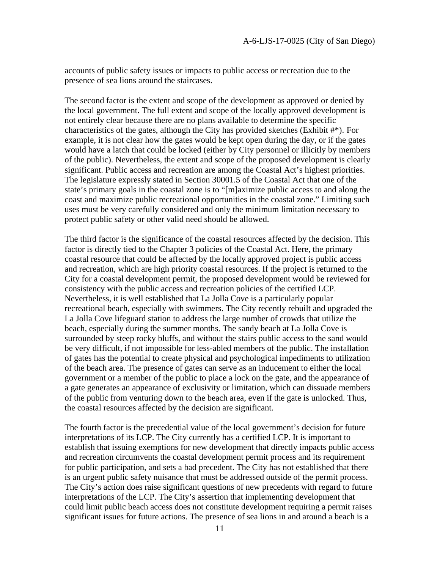accounts of public safety issues or impacts to public access or recreation due to the presence of sea lions around the staircases.

The second factor is the extent and scope of the development as approved or denied by the local government. The full extent and scope of the locally approved development is not entirely clear because there are no plans available to determine the specific characteristics of the gates, although the City has provided sketches (Exhibit #\*). For example, it is not clear how the gates would be kept open during the day, or if the gates would have a latch that could be locked (either by City personnel or illicitly by members of the public). Nevertheless, the extent and scope of the proposed development is clearly significant. Public access and recreation are among the Coastal Act's highest priorities. The legislature expressly stated in Section 30001.5 of the Coastal Act that one of the state's primary goals in the coastal zone is to "[m]aximize public access to and along the coast and maximize public recreational opportunities in the coastal zone." Limiting such uses must be very carefully considered and only the minimum limitation necessary to protect public safety or other valid need should be allowed.

The third factor is the significance of the coastal resources affected by the decision. This factor is directly tied to the Chapter 3 policies of the Coastal Act. Here, the primary coastal resource that could be affected by the locally approved project is public access and recreation, which are high priority coastal resources. If the project is returned to the City for a coastal development permit, the proposed development would be reviewed for consistency with the public access and recreation policies of the certified LCP. Nevertheless, it is well established that La Jolla Cove is a particularly popular recreational beach, especially with swimmers. The City recently rebuilt and upgraded the La Jolla Cove lifeguard station to address the large number of crowds that utilize the beach, especially during the summer months. The sandy beach at La Jolla Cove is surrounded by steep rocky bluffs, and without the stairs public access to the sand would be very difficult, if not impossible for less-abled members of the public. The installation of gates has the potential to create physical and psychological impediments to utilization of the beach area. The presence of gates can serve as an inducement to either the local government or a member of the public to place a lock on the gate, and the appearance of a gate generates an appearance of exclusivity or limitation, which can dissuade members of the public from venturing down to the beach area, even if the gate is unlocked. Thus, the coastal resources affected by the decision are significant.

The fourth factor is the precedential value of the local government's decision for future interpretations of its LCP. The City currently has a certified LCP. It is important to establish that issuing exemptions for new development that directly impacts public access and recreation circumvents the coastal development permit process and its requirement for public participation, and sets a bad precedent. The City has not established that there is an urgent public safety nuisance that must be addressed outside of the permit process. The City's action does raise significant questions of new precedents with regard to future interpretations of the LCP. The City's assertion that implementing development that could limit public beach access does not constitute development requiring a permit raises significant issues for future actions. The presence of sea lions in and around a beach is a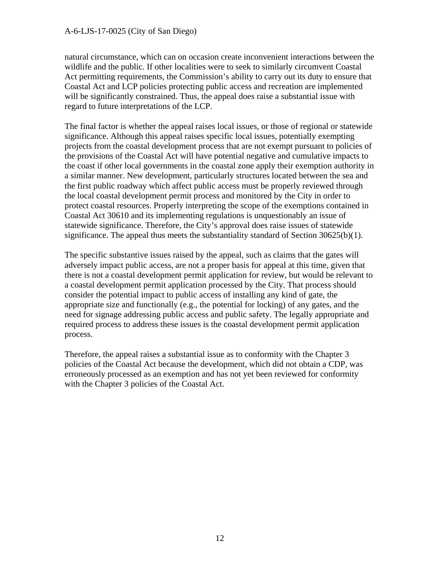natural circumstance, which can on occasion create inconvenient interactions between the wildlife and the public. If other localities were to seek to similarly circumvent Coastal Act permitting requirements, the Commission's ability to carry out its duty to ensure that Coastal Act and LCP policies protecting public access and recreation are implemented will be significantly constrained. Thus, the appeal does raise a substantial issue with regard to future interpretations of the LCP.

The final factor is whether the appeal raises local issues, or those of regional or statewide significance. Although this appeal raises specific local issues, potentially exempting projects from the coastal development process that are not exempt pursuant to policies of the provisions of the Coastal Act will have potential negative and cumulative impacts to the coast if other local governments in the coastal zone apply their exemption authority in a similar manner. New development, particularly structures located between the sea and the first public roadway which affect public access must be properly reviewed through the local coastal development permit process and monitored by the City in order to protect coastal resources. Properly interpreting the scope of the exemptions contained in Coastal Act 30610 and its implementing regulations is unquestionably an issue of statewide significance. Therefore, the City's approval does raise issues of statewide significance. The appeal thus meets the substantiality standard of Section  $30625(b)(1)$ .

The specific substantive issues raised by the appeal, such as claims that the gates will adversely impact public access, are not a proper basis for appeal at this time, given that there is not a coastal development permit application for review, but would be relevant to a coastal development permit application processed by the City. That process should consider the potential impact to public access of installing any kind of gate, the appropriate size and functionally (e.g., the potential for locking) of any gates, and the need for signage addressing public access and public safety. The legally appropriate and required process to address these issues is the coastal development permit application process.

Therefore, the appeal raises a substantial issue as to conformity with the Chapter 3 policies of the Coastal Act because the development, which did not obtain a CDP, was erroneously processed as an exemption and has not yet been reviewed for conformity with the Chapter 3 policies of the Coastal Act.